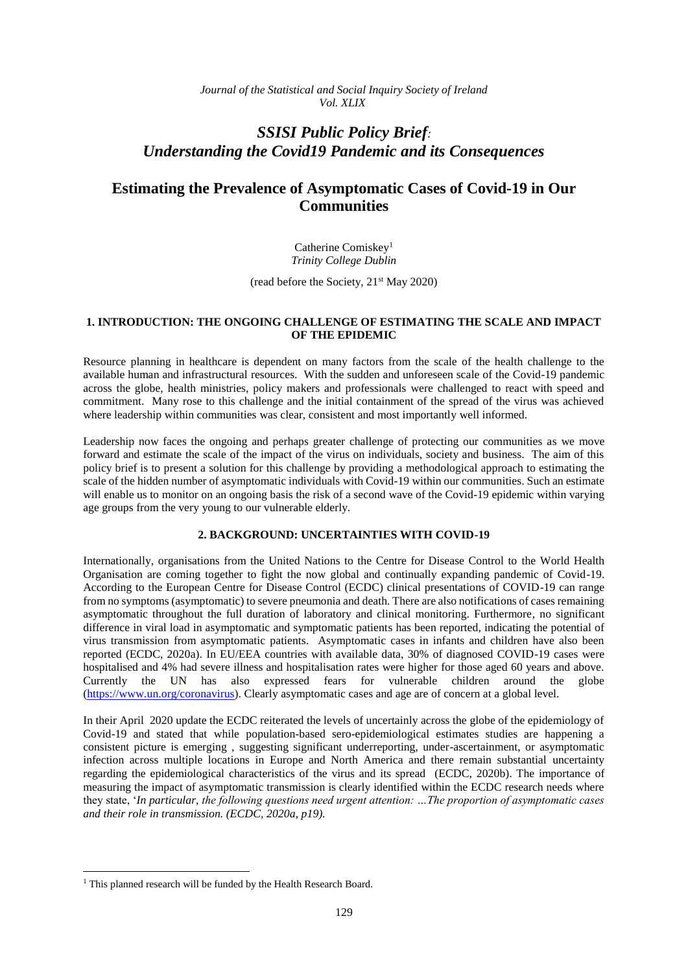*Journal of the Statistical and Social Inquiry Society of Ireland Vol. XLIX*

# *SSISI Public Policy Brief: Understanding the Covid19 Pandemic and its Consequences*

# **Estimating the Prevalence of Asymptomatic Cases of Covid-19 in Our Communities**

Catherine Comiskey<sup>1</sup> *Trinity College Dublin*

(read before the Society, 21st May 2020)

## **1. INTRODUCTION: THE ONGOING CHALLENGE OF ESTIMATING THE SCALE AND IMPACT OF THE EPIDEMIC**

Resource planning in healthcare is dependent on many factors from the scale of the health challenge to the available human and infrastructural resources. With the sudden and unforeseen scale of the Covid-19 pandemic across the globe, health ministries, policy makers and professionals were challenged to react with speed and commitment. Many rose to this challenge and the initial containment of the spread of the virus was achieved where leadership within communities was clear, consistent and most importantly well informed.

Leadership now faces the ongoing and perhaps greater challenge of protecting our communities as we move forward and estimate the scale of the impact of the virus on individuals, society and business. The aim of this policy brief is to present a solution for this challenge by providing a methodological approach to estimating the scale of the hidden number of asymptomatic individuals with Covid-19 within our communities. Such an estimate will enable us to monitor on an ongoing basis the risk of a second wave of the Covid-19 epidemic within varying age groups from the very young to our vulnerable elderly.

## **2. BACKGROUND: UNCERTAINTIES WITH COVID-19**

Internationally, organisations from the United Nations to the Centre for Disease Control to the World Health Organisation are coming together to fight the now global and continually expanding pandemic of Covid-19. According to the European Centre for Disease Control (ECDC) clinical presentations of COVID-19 can range from no symptoms (asymptomatic) to severe pneumonia and death. There are also notifications of cases remaining asymptomatic throughout the full duration of laboratory and clinical monitoring. Furthermore, no significant difference in viral load in asymptomatic and symptomatic patients has been reported, indicating the potential of virus transmission from asymptomatic patients. Asymptomatic cases in infants and children have also been reported (ECDC, 2020a). In EU/EEA countries with available data, 30% of diagnosed COVID-19 cases were hospitalised and 4% had severe illness and hospitalisation rates were higher for those aged 60 years and above. Currently the UN has also expressed fears for vulnerable children around the globe [\(https://www.un.org/coronavirus\)](https://www.un.org/coronavirus). Clearly asymptomatic cases and age are of concern at a global level.

In their April 2020 update the ECDC reiterated the levels of uncertainly across the globe of the epidemiology of Covid-19 and stated that while population-based sero-epidemiological estimates studies are happening a consistent picture is emerging , suggesting significant underreporting, under-ascertainment, or asymptomatic infection across multiple locations in Europe and North America and there remain substantial uncertainty regarding the epidemiological characteristics of the virus and its spread (ECDC, 2020b). The importance of measuring the impact of asymptomatic transmission is clearly identified within the ECDC research needs where they state, '*In particular, the following questions need urgent attention: …The proportion of asymptomatic cases and their role in transmission. (ECDC, 2020a, p19).*

**.** 

<sup>&</sup>lt;sup>1</sup> This planned research will be funded by the Health Research Board.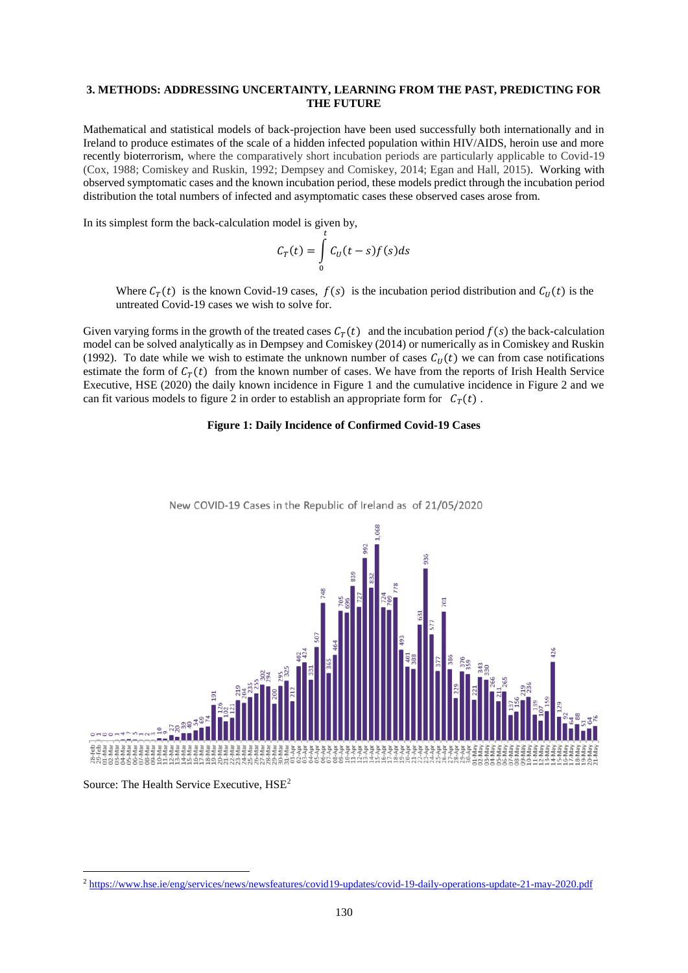### **3. METHODS: ADDRESSING UNCERTAINTY, LEARNING FROM THE PAST, PREDICTING FOR THE FUTURE**

Mathematical and statistical models of back-projection have been used successfully both internationally and in Ireland to produce estimates of the scale of a hidden infected population within HIV/AIDS, heroin use and more recently bioterrorism, where the comparatively short incubation periods are particularly applicable to Covid-19 (Cox, 1988; Comiskey and Ruskin, 1992; Dempsey and Comiskey, 2014; Egan and Hall, 2015). Working with observed symptomatic cases and the known incubation period, these models predict through the incubation period distribution the total numbers of infected and asymptomatic cases these observed cases arose from.

In its simplest form the back-calculation model is given by,

$$
C_T(t) = \int\limits_0^t C_U(t-s)f(s)ds
$$

Where  $C_T(t)$  is the known Covid-19 cases,  $f(s)$  is the incubation period distribution and  $C_U(t)$  is the untreated Covid-19 cases we wish to solve for.

Given varying forms in the growth of the treated cases  $C_T(t)$  and the incubation period  $f(s)$  the back-calculation model can be solved analytically as in Dempsey and Comiskey (2014) or numerically as in Comiskey and Ruskin (1992). To date while we wish to estimate the unknown number of cases  $C_U(t)$  we can from case notifications estimate the form of  $C_T(t)$  from the known number of cases. We have from the reports of Irish Health Service Executive, HSE (2020) the daily known incidence in Figure 1 and the cumulative incidence in Figure 2 and we can fit various models to figure 2 in order to establish an appropriate form for  $C_T(t)$ .

### **Figure 1: Daily Incidence of Confirmed Covid-19 Cases**



New COVID-19 Cases in the Republic of Ireland as of 21/05/2020

Source: The Health Service Executive,  $HSE<sup>2</sup>$ 

<sup>2</sup> <https://www.hse.ie/eng/services/news/newsfeatures/covid19-updates/covid-19-daily-operations-update-21-may-2020.pdf>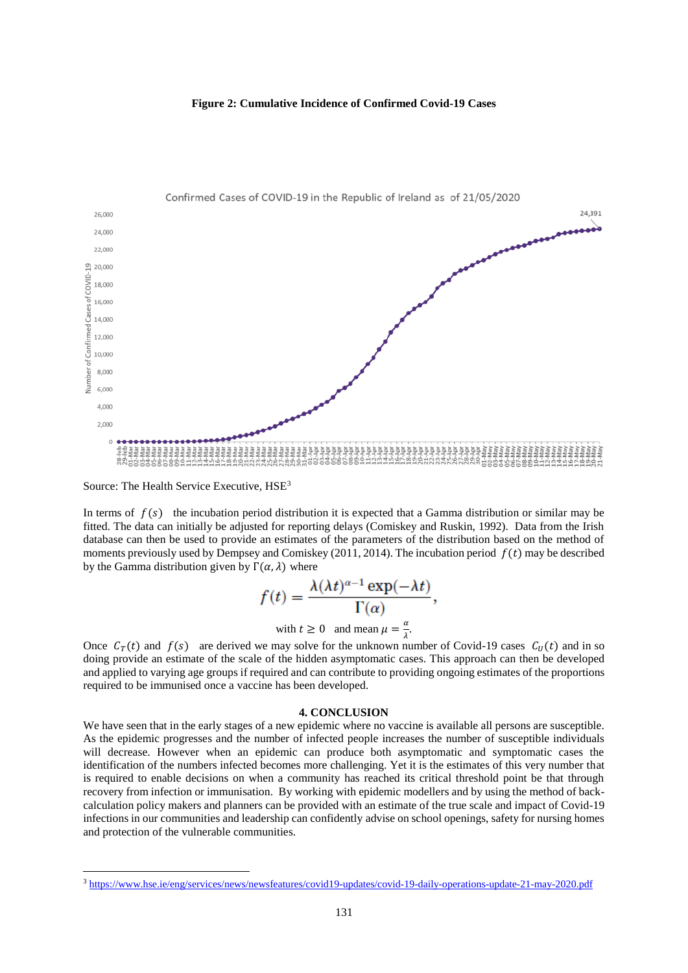



Source: The Health Service Executive,  $HSE<sup>3</sup>$ 

In terms of  $f(s)$  the incubation period distribution it is expected that a Gamma distribution or similar may be fitted. The data can initially be adjusted for reporting delays (Comiskey and Ruskin, 1992). Data from the Irish database can then be used to provide an estimates of the parameters of the distribution based on the method of moments previously used by Dempsey and Comiskey (2011, 2014). The incubation period  $f(t)$  may be described by the Gamma distribution given by  $\Gamma(\alpha, \lambda)$  where

$$
f(t) = \frac{\lambda(\lambda t)^{\alpha - 1} \exp(-\lambda t)}{\Gamma(\alpha)},
$$

with 
$$
t \ge 0
$$
 and mean  $\mu = \frac{a}{\lambda}$ .

Once  $C_T(t)$  and  $f(s)$  are derived we may solve for the unknown number of Covid-19 cases  $C_U(t)$  and in so doing provide an estimate of the scale of the hidden asymptomatic cases. This approach can then be developed and applied to varying age groups if required and can contribute to providing ongoing estimates of the proportions required to be immunised once a vaccine has been developed.

#### **4. CONCLUSION**

We have seen that in the early stages of a new epidemic where no vaccine is available all persons are susceptible. As the epidemic progresses and the number of infected people increases the number of susceptible individuals will decrease. However when an epidemic can produce both asymptomatic and symptomatic cases the identification of the numbers infected becomes more challenging. Yet it is the estimates of this very number that is required to enable decisions on when a community has reached its critical threshold point be that through recovery from infection or immunisation. By working with epidemic modellers and by using the method of backcalculation policy makers and planners can be provided with an estimate of the true scale and impact of Covid-19 infections in our communities and leadership can confidently advise on school openings, safety for nursing homes and protection of the vulnerable communities.

<sup>3</sup> <https://www.hse.ie/eng/services/news/newsfeatures/covid19-updates/covid-19-daily-operations-update-21-may-2020.pdf>